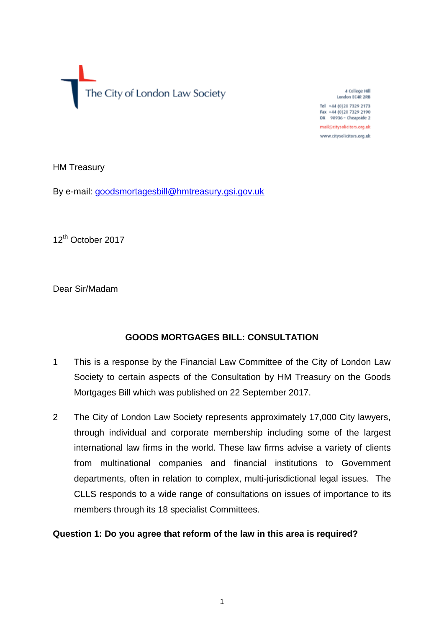The City of London Law Society

4 College Hill London EC4R 2RB

Tel +44 (0)20 7329 2173 Fax +44 (0)20 7329 2190 DX 98936 - Cheapside 2 mail@citysolicitors.org.uk

www.citysolicitors.org.uk

HM Treasury

By e-mail: [goodsmortagesbill@hmtreasury.gsi.gov.uk](mailto:goodsmortagesbill@hmtreasury.gsi.gov.uk)

12<sup>th</sup> October 2017

Dear Sir/Madam

### **GOODS MORTGAGES BILL: CONSULTATION**

- 1 This is a response by the Financial Law Committee of the City of London Law Society to certain aspects of the Consultation by HM Treasury on the Goods Mortgages Bill which was published on 22 September 2017.
- 2 The City of London Law Society represents approximately 17,000 City lawyers, through individual and corporate membership including some of the largest international law firms in the world. These law firms advise a variety of clients from multinational companies and financial institutions to Government departments, often in relation to complex, multi-jurisdictional legal issues. The CLLS responds to a wide range of consultations on issues of importance to its members through its 18 specialist Committees.

### **Question 1: Do you agree that reform of the law in this area is required?**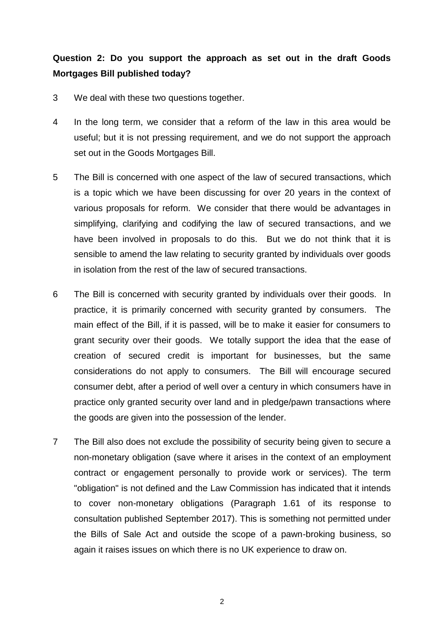# **Question 2: Do you support the approach as set out in the draft Goods Mortgages Bill published today?**

- 3 We deal with these two questions together.
- 4 In the long term, we consider that a reform of the law in this area would be useful; but it is not pressing requirement, and we do not support the approach set out in the Goods Mortgages Bill.
- 5 The Bill is concerned with one aspect of the law of secured transactions, which is a topic which we have been discussing for over 20 years in the context of various proposals for reform. We consider that there would be advantages in simplifying, clarifying and codifying the law of secured transactions, and we have been involved in proposals to do this. But we do not think that it is sensible to amend the law relating to security granted by individuals over goods in isolation from the rest of the law of secured transactions.
- 6 The Bill is concerned with security granted by individuals over their goods. In practice, it is primarily concerned with security granted by consumers. The main effect of the Bill, if it is passed, will be to make it easier for consumers to grant security over their goods. We totally support the idea that the ease of creation of secured credit is important for businesses, but the same considerations do not apply to consumers. The Bill will encourage secured consumer debt, after a period of well over a century in which consumers have in practice only granted security over land and in pledge/pawn transactions where the goods are given into the possession of the lender.
- 7 The Bill also does not exclude the possibility of security being given to secure a non-monetary obligation (save where it arises in the context of an employment contract or engagement personally to provide work or services). The term "obligation" is not defined and the Law Commission has indicated that it intends to cover non-monetary obligations (Paragraph 1.61 of its response to consultation published September 2017). This is something not permitted under the Bills of Sale Act and outside the scope of a pawn-broking business, so again it raises issues on which there is no UK experience to draw on.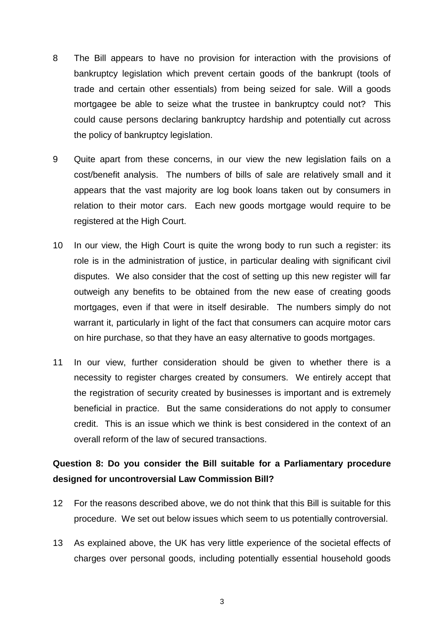- 8 The Bill appears to have no provision for interaction with the provisions of bankruptcy legislation which prevent certain goods of the bankrupt (tools of trade and certain other essentials) from being seized for sale. Will a goods mortgagee be able to seize what the trustee in bankruptcy could not? This could cause persons declaring bankruptcy hardship and potentially cut across the policy of bankruptcy legislation.
- 9 Quite apart from these concerns, in our view the new legislation fails on a cost/benefit analysis. The numbers of bills of sale are relatively small and it appears that the vast majority are log book loans taken out by consumers in relation to their motor cars. Each new goods mortgage would require to be registered at the High Court.
- 10 In our view, the High Court is quite the wrong body to run such a register: its role is in the administration of justice, in particular dealing with significant civil disputes. We also consider that the cost of setting up this new register will far outweigh any benefits to be obtained from the new ease of creating goods mortgages, even if that were in itself desirable. The numbers simply do not warrant it, particularly in light of the fact that consumers can acquire motor cars on hire purchase, so that they have an easy alternative to goods mortgages.
- 11 In our view, further consideration should be given to whether there is a necessity to register charges created by consumers. We entirely accept that the registration of security created by businesses is important and is extremely beneficial in practice. But the same considerations do not apply to consumer credit. This is an issue which we think is best considered in the context of an overall reform of the law of secured transactions.

## **Question 8: Do you consider the Bill suitable for a Parliamentary procedure designed for uncontroversial Law Commission Bill?**

- 12 For the reasons described above, we do not think that this Bill is suitable for this procedure. We set out below issues which seem to us potentially controversial.
- 13 As explained above, the UK has very little experience of the societal effects of charges over personal goods, including potentially essential household goods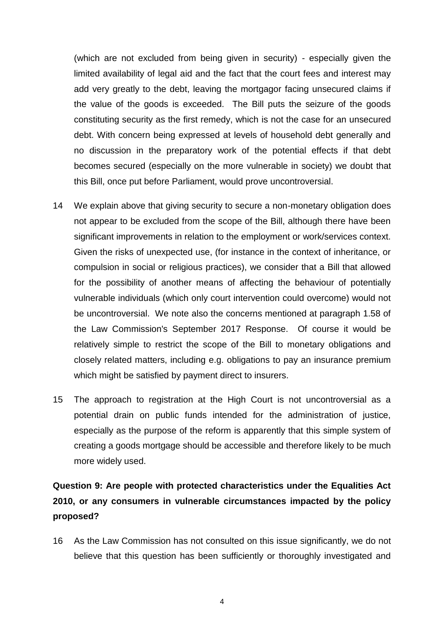(which are not excluded from being given in security) - especially given the limited availability of legal aid and the fact that the court fees and interest may add very greatly to the debt, leaving the mortgagor facing unsecured claims if the value of the goods is exceeded. The Bill puts the seizure of the goods constituting security as the first remedy, which is not the case for an unsecured debt. With concern being expressed at levels of household debt generally and no discussion in the preparatory work of the potential effects if that debt becomes secured (especially on the more vulnerable in society) we doubt that this Bill, once put before Parliament, would prove uncontroversial.

- 14 We explain above that giving security to secure a non-monetary obligation does not appear to be excluded from the scope of the Bill, although there have been significant improvements in relation to the employment or work/services context. Given the risks of unexpected use, (for instance in the context of inheritance, or compulsion in social or religious practices), we consider that a Bill that allowed for the possibility of another means of affecting the behaviour of potentially vulnerable individuals (which only court intervention could overcome) would not be uncontroversial. We note also the concerns mentioned at paragraph 1.58 of the Law Commission's September 2017 Response. Of course it would be relatively simple to restrict the scope of the Bill to monetary obligations and closely related matters, including e.g. obligations to pay an insurance premium which might be satisfied by payment direct to insurers.
- 15 The approach to registration at the High Court is not uncontroversial as a potential drain on public funds intended for the administration of justice, especially as the purpose of the reform is apparently that this simple system of creating a goods mortgage should be accessible and therefore likely to be much more widely used.

# **Question 9: Are people with protected characteristics under the Equalities Act 2010, or any consumers in vulnerable circumstances impacted by the policy proposed?**

16 As the Law Commission has not consulted on this issue significantly, we do not believe that this question has been sufficiently or thoroughly investigated and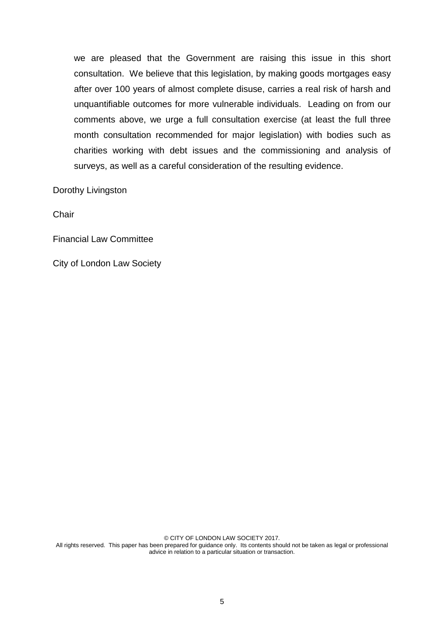we are pleased that the Government are raising this issue in this short consultation. We believe that this legislation, by making goods mortgages easy after over 100 years of almost complete disuse, carries a real risk of harsh and unquantifiable outcomes for more vulnerable individuals. Leading on from our comments above, we urge a full consultation exercise (at least the full three month consultation recommended for major legislation) with bodies such as charities working with debt issues and the commissioning and analysis of surveys, as well as a careful consideration of the resulting evidence.

Dorothy Livingston

**Chair** 

Financial Law Committee

City of London Law Society

© CITY OF LONDON LAW SOCIETY 2017. All rights reserved. This paper has been prepared for guidance only. Its contents should not be taken as legal or professional advice in relation to a particular situation or transaction.